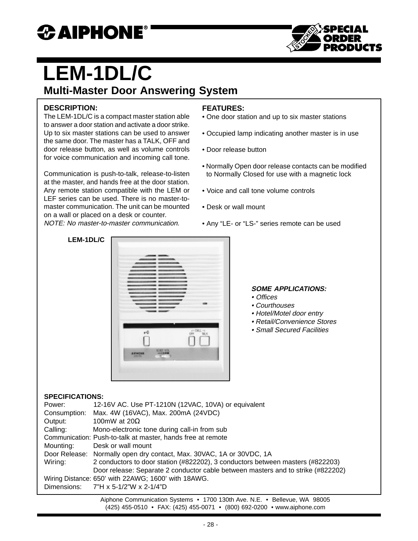## *CAIPHONE*



# **LEM-1DL/C**

### **Multi-Master Door Answering System**

#### **DESCRIPTION:**

The LEM-1DL/C is a compact master station able to answer a door station and activate a door strike. Up to six master stations can be used to answer the same door. The master has a TALK, OFF and door release button, as well as volume controls for voice communication and incoming call tone.

Communication is push-to-talk, release-to-listen at the master, and hands free at the door station. Any remote station compatible with the LEM or LEF series can be used. There is no master-tomaster communication. The unit can be mounted on a wall or placed on a desk or counter. NOTE: No master-to-master communication.

#### **FEATURES:**

- One door station and up to six master stations
- Occupied lamp indicating another master is in use
- Door release button
- Normally Open door release contacts can be modified to Normally Closed for use with a magnetic lock
- Voice and call tone volume controls
- Desk or wall mount
- Any "LE- or "LS-" series remote can be used

#### **LEM-1DL/C**

| тŨ                                       | $C = 58.1 - 10$ |
|------------------------------------------|-----------------|
| <b>NORDE A/OL</b><br>--<br><b>AWACAR</b> | шκ              |

#### **SOME APPLICATIONS:**

- Offices
- Courthouses
- Hotel/Motel door entry
- Retail/Convenience Stores
- Small Secured Facilities

#### **SPECIFICATIONS:**

| Power:                                              | 12-16V AC. Use PT-1210N (12VAC, 10VA) or equivalent                              |  |
|-----------------------------------------------------|----------------------------------------------------------------------------------|--|
|                                                     | Consumption: Max. 4W (16VAC), Max. 200mA (24VDC)                                 |  |
| Output:                                             | 100mW at $20\Omega$                                                              |  |
| Calling:                                            | Mono-electronic tone during call-in from sub                                     |  |
|                                                     | Communication: Push-to-talk at master, hands free at remote                      |  |
| Mounting:                                           | Desk or wall mount                                                               |  |
|                                                     | Door Release: Normally open dry contact, Max. 30VAC, 1A or 30VDC, 1A             |  |
| Wiring:                                             | 2 conductors to door station (#822202), 3 conductors between masters (#822203)   |  |
|                                                     | Door release: Separate 2 conductor cable between masters and to strike (#822202) |  |
| Wiring Distance: 650' with 22AWG; 1600' with 18AWG. |                                                                                  |  |
|                                                     | Dimensions: $7"H \times 5-1/2"W \times 2-1/4"D$                                  |  |

Aiphone Communication Systems • 1700 130th Ave. N.E. • Bellevue, WA 98005 (425) 455-0510 • FAX: (425) 455-0071 • (800) 692-0200 • www.aiphone.com